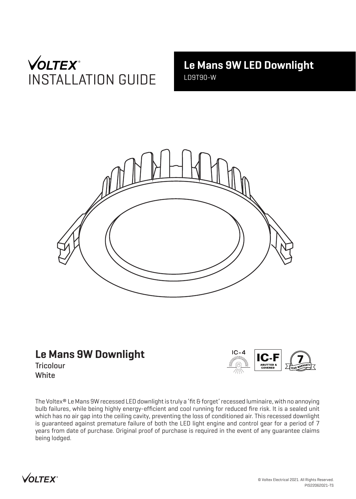# **VOLTEX**<sup>®</sup> INSTALLATION GUIDE

**Le Mans 9W LED Downlight** LD9T90-W



# **Le Mans 9W Downlight**

**Tricolour White** 



The Voltex® Le Mans 9W recessed LED downlight is truly a 'fit & forget' recessed luminaire, with no annoying bulb failures, while being highly energy-efficient and cool running for reduced fire risk. It is a sealed unit which has no air gap into the ceiling cavity, preventing the loss of conditioned air. This recessed downlight is guaranteed against premature failure of both the LED light engine and control gear for a period of 7 years from date of purchase. Original proof of purchase is required in the event of any guarantee claims being lodged.

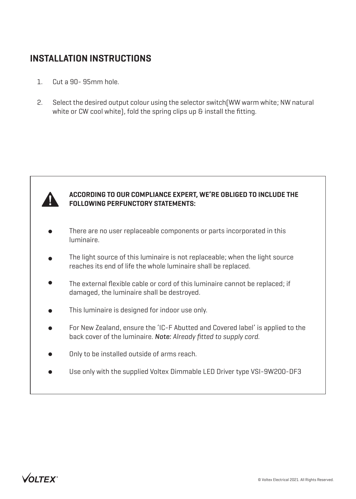### **INSTALLATION INSTRUCTIONS**

- 1. Cut a 90- 95mm hole.
- 2. Select the desired output colour using the selector switch(WW warm white; NW natural white or CW cool white), fold the spring clips up & install the fitting.



#### **ACCORDING TO OUR COMPLIANCE EXPERT, WE'RE OBLIGED TO INCLUDE THE FOLLOWING PERFUNCTORY STATEMENTS:**

- There are no user replaceable components or parts incorporated in this luminaire.
- The light source of this luminaire is not replaceable; when the light source reaches its end of life the whole luminaire shall be replaced.
- The external flexible cable or cord of this luminaire cannot be replaced; if damaged, the luminaire shall be destroyed.
- This luminaire is designed for indoor use only.
- For New Zealand, ensure the 'IC-F Abutted and Covered label' is applied to the back cover of the luminaire. *Note: Already fitted to supply cord.*
- Only to be installed outside of arms reach.
- Use only with the supplied Voltex Dimmable LED Driver type VSI-9W200-DF3  $\blacksquare$

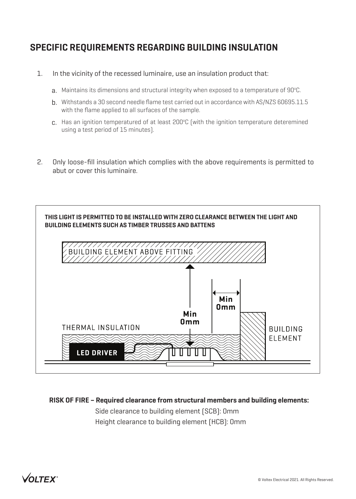## **SPECIFIC REQUIREMENTS REGARDING BUILDING INSULATION**

- 1. In the vicinity of the recessed luminaire, use an insulation product that:
	- ${\sf a}.$  Maintains its dimensions and structural integrity when exposed to a temperature of 90°C.
	- b. Withstands a 30 second needle flame test carried out in accordance with AS/NZS 60695.11.5 with the flame applied to all surfaces of the sample.
	- $c$ . Has an ignition temperatured of at least 200°C (with the ignition temperature deteremined using a test period of 15 minutes).
- 2. Only loose-fill insulation which complies with the above requirements is permitted to abut or cover this luminaire.



**RISK OF FIRE – Required clearance from structural members and building elements:**

Side clearance to building element (SCB): 0mm Height clearance to building element (HCB): 0mm